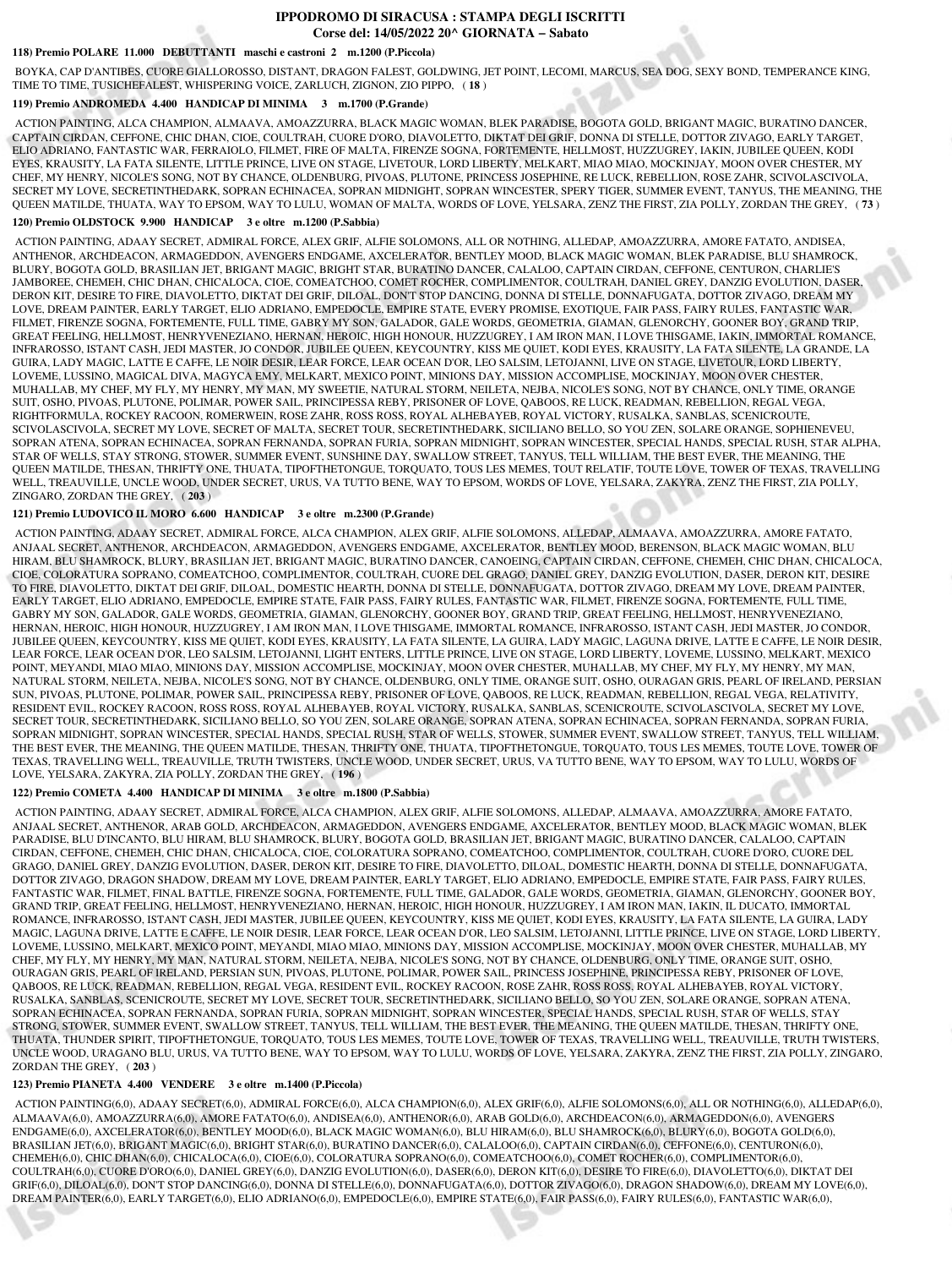#### **IPPODROMO DI SIRACUSA : STAMPA DEGLI ISCRITTI Corse del: 14/05/2022 20^ GIORNATA − Sabato**

## **118) Premio POLARE 11.000 DEBUTTANTI maschi e castroni 2 m.1200 (P.Piccola)**

 BOYKA, CAP D'ANTIBES, CUORE GIALLOROSSO, DISTANT, DRAGON FALEST, GOLDWING, JET POINT, LECOMI, MARCUS, SEA DOG, SEXY BOND, TEMPERANCE KING, TIME TO TIME, TUSICHEFALEST, WHISPERING VOICE, ZARLUCH, ZIGNON, ZIO PIPPO, ( **18** )

# **119) Premio ANDROMEDA 4.400 HANDICAP DI MINIMA 3 m.1700 (P.Grande)**

 ACTION PAINTING, ALCA CHAMPION, ALMAAVA, AMOAZZURRA, BLACK MAGIC WOMAN, BLEK PARADISE, BOGOTA GOLD, BRIGANT MAGIC, BURATINO DANCER, CAPTAIN CIRDAN, CEFFONE, CHIC DHAN, CIOE, COULTRAH, CUORE D'ORO, DIAVOLETTO, DIKTAT DEI GRIF, DONNA DI STELLE, DOTTOR ZIVAGO, EARLY TARGET, ELIO ADRIANO, FANTASTIC WAR, FERRAIOLO, FILMET, FIRE OF MALTA, FIRENZE SOGNA, FORTEMENTE, HELLMOST, HUZZUGREY, IAKIN, JUBILEE QUEEN, KODI EYES, KRAUSITY, LA FATA SILENTE, LITTLE PRINCE, LIVE ON STAGE, LIVETOUR, LORD LIBERTY, MELKART, MIAO MIAO, MOCKINJAY, MOON OVER CHESTER, MY CHEF, MY HENRY, NICOLE'S SONG, NOT BY CHANCE, OLDENBURG, PIVOAS, PLUTONE, PRINCESS JOSEPHINE, RE LUCK, REBELLION, ROSE ZAHR, SCIVOLASCIVOLA, SECRET MY LOVE, SECRETINTHEDARK, SOPRAN ECHINACEA, SOPRAN MIDNIGHT, SOPRAN WINCESTER, SPERY TIGER, SUMMER EVENT, TANYUS, THE MEANING, THE QUEEN MATILDE, THUATA, WAY TO EPSOM, WAY TO LULU, WOMAN OF MALTA, WORDS OF LOVE, YELSARA, ZENZ THE FIRST, ZIA POLLY, ZORDAN THE GREY, ( **73** )

# **120) Premio OLDSTOCK 9.900 HANDICAP 3 e oltre m.1200 (P.Sabbia)**

 ACTION PAINTING, ADAAY SECRET, ADMIRAL FORCE, ALEX GRIF, ALFIE SOLOMONS, ALL OR NOTHING, ALLEDAP, AMOAZZURRA, AMORE FATATO, ANDISEA, ANTHENOR, ARCHDEACON, ARMAGEDDON, AVENGERS ENDGAME, AXCELERATOR, BENTLEY MOOD, BLACK MAGIC WOMAN, BLEK PARADISE, BLU SHAMROCK, BLURY, BOGOTA GOLD, BRASILIAN JET, BRIGANT MAGIC, BRIGHT STAR, BURATINO DANCER, CALALOO, CAPTAIN CIRDAN, CEFFONE, CENTURON, CHARLIE'S JAMBOREE, CHEMEH, CHIC DHAN, CHICALOCA, CIOE, COMEATCHOO, COMET ROCHER, COMPLIMENTOR, COULTRAH, DANIEL GREY, DANZIG EVOLUTION, DASER, DERON KIT, DESIRE TO FIRE, DIAVOLETTO, DIKTAT DEI GRIF, DILOAL, DON'T STOP DANCING, DONNA DI STELLE, DONNAFUGATA, DOTTOR ZIVAGO, DREAM MY LOVE, DREAM PAINTER, EARLY TARGET, ELIO ADRIANO, EMPEDOCLE, EMPIRE STATE, EVERY PROMISE, EXOTIQUE, FAIR PASS, FAIRY RULES, FANTASTIC WAR, FILMET, FIRENZE SOGNA, FORTEMENTE, FULL TIME, GABRY MY SON, GALADOR, GALE WORDS, GEOMETRIA, GIAMAN, GLENORCHY, GOONER BOY, GRAND TRIP, GREAT FEELING, HELLMOST, HENRYVENEZIANO, HERNAN, HEROIC, HIGH HONOUR, HUZZUGREY, I AM IRON MAN, I LOVE THISGAME, IAKIN, IMMORTAL ROMANCE, INFRAROSSO, ISTANT CASH, JEDI MASTER, JO CONDOR, JUBILEE QUEEN, KEYCOUNTRY, KISS ME QUIET, KODI EYES, KRAUSITY, LA FATA SILENTE, LA GRANDE, LA GUIRA, LADY MAGIC, LATTE E CAFFE, LE NOIR DESIR, LEAR FORCE, LEAR OCEAN D'OR, LEO SALSIM, LETOJANNI, LIVE ON STAGE, LIVETOUR, LORD LIBERTY, LOVEME, LUSSINO, MAGICAL DIVA, MAGYCA EMY, MELKART, MEXICO POINT, MINIONS DAY, MISSION ACCOMPLISE, MOCKINJAY, MOON OVER CHESTER, MUHALLAB, MY CHEF, MY FLY, MY HENRY, MY MAN, MY SWEETIE, NATURAL STORM, NEILETA, NEJBA, NICOLE'S SONG, NOT BY CHANCE, ONLY TIME, ORANGE SUIT, OSHO, PIVOAS, PLUTONE, POLIMAR, POWER SAIL, PRINCIPESSA REBY, PRISONER OF LOVE, QABOOS, RE LUCK, READMAN, REBELLION, REGAL VEGA, RIGHTFORMULA, ROCKEY RACOON, ROMERWEIN, ROSE ZAHR, ROSS ROSS, ROYAL ALHEBAYEB, ROYAL VICTORY, RUSALKA, SANBLAS, SCENICROUTE, SCIVOLASCIVOLA, SECRET MY LOVE, SECRET OF MALTA, SECRET TOUR, SECRETINTHEDARK, SICILIANO BELLO, SO YOU ZEN, SOLARE ORANGE, SOPHIENEVEU, SOPRAN ATENA, SOPRAN ECHINACEA, SOPRAN FERNANDA, SOPRAN FURIA, SOPRAN MIDNIGHT, SOPRAN WINCESTER, SPECIAL HANDS, SPECIAL RUSH, STAR ALPHA, STAR OF WELLS, STAY STRONG, STOWER, SUMMER EVENT, SUNSHINE DAY, SWALLOW STREET, TANYUS, TELL WILLIAM, THE BEST EVER, THE MEANING, THE QUEEN MATILDE, THESAN, THRIFTY ONE, THUATA, TIPOFTHETONGUE, TORQUATO, TOUS LES MEMES, TOUT RELATIF, TOUTE LOVE, TOWER OF TEXAS, TRAVELLING WELL, TREAUVILLE, UNCLE WOOD, UNDER SECRET, URUS, VA TUTTO BENE, WAY TO EPSOM, WORDS OF LOVE, YELSARA, ZAKYRA, ZENZ THE FIRST, ZIA POLLY, ZINGARO, ZORDAN THE GREY, ( **203** )

## **121) Premio LUDOVICO IL MORO 6.600 HANDICAP 3 e oltre m.2300 (P.Grande)**

 ACTION PAINTING, ADAAY SECRET, ADMIRAL FORCE, ALCA CHAMPION, ALEX GRIF, ALFIE SOLOMONS, ALLEDAP, ALMAAVA, AMOAZZURRA, AMORE FATATO, ANJAAL SECRET, ANTHENOR, ARCHDEACON, ARMAGEDDON, AVENGERS ENDGAME, AXCELERATOR, BENTLEY MOOD, BERENSON, BLACK MAGIC WOMAN, BLU HIRAM, BLU SHAMROCK, BLURY, BRASILIAN JET, BRIGANT MAGIC, BURATINO DANCER, CANOEING, CAPTAIN CIRDAN, CEFFONE, CHEMEH, CHIC DHAN, CHICALOCA, CIOE, COLORATURA SOPRANO, COMEATCHOO, COMPLIMENTOR, COULTRAH, CUORE DEL GRAGO, DANIEL GREY, DANZIG EVOLUTION, DASER, DERON KIT, DESIRE TO FIRE, DIAVOLETTO, DIKTAT DEI GRIF, DILOAL, DOMESTIC HEARTH, DONNA DI STELLE, DONNAFUGATA, DOTTOR ZIVAGO, DREAM MY LOVE, DREAM PAINTER, EARLY TARGET, ELIO ADRIANO, EMPEDOCLE, EMPIRE STATE, FAIR PASS, FAIRY RULES, FANTASTIC WAR, FILMET, FIRENZE SOGNA, FORTEMENTE, FULL TIME, GABRY MY SON, GALADOR, GALE WORDS, GEOMETRIA, GIAMAN, GLENORCHY, GOONER BOY, GRAND TRIP, GREAT FEELING, HELLMOST, HENRYVENEZIANO, HERNAN, HEROIC, HIGH HONOUR, HUZZUGREY, I AM IRON MAN, I LOVE THISGAME, IMMORTAL ROMANCE, INFRAROSSO, ISTANT CASH, JEDI MASTER, JO CONDOR, JUBILEE QUEEN, KEYCOUNTRY, KISS ME QUIET, KODI EYES, KRAUSITY, LA FATA SILENTE, LA GUIRA, LADY MAGIC, LAGUNA DRIVE, LATTE E CAFFE, LE NOIR DESIR, LEAR FORCE, LEAR OCEAN D'OR, LEO SALSIM, LETOJANNI, LIGHT ENTERS, LITTLE PRINCE, LIVE ON STAGE, LORD LIBERTY, LOVEME, LUSSINO, MELKART, MEXICO POINT, MEYANDI, MIAO MIAO, MINIONS DAY, MISSION ACCOMPLISE, MOCKINJAY, MOON OVER CHESTER, MUHALLAB, MY CHEF, MY FLY, MY HENRY, MY MAN, NATURAL STORM, NEILETA, NEJBA, NICOLE'S SONG, NOT BY CHANCE, OLDENBURG, ONLY TIME, ORANGE SUIT, OSHO, OURAGAN GRIS, PEARL OF IRELAND, PERSIAN SUN, PIVOAS, PLUTONE, POLIMAR, POWER SAIL, PRINCIPESSA REBY, PRISONER OF LOVE, QABOOS, RE LUCK, READMAN, REBELLION, REGAL VEGA, RELATIVITY, RESIDENT EVIL, ROCKEY RACOON, ROSS ROSS, ROYAL ALHEBAYEB, ROYAL VICTORY, RUSALKA, SANBLAS, SCENICROUTE, SCIVOLASCIVOLA, SECRET MY LOVE, SECRET TOUR, SECRETINTHEDARK, SICILIANO BELLO, SO YOU ZEN, SOLARE ORANGE, SOPRAN ATENA, SOPRAN ECHINACEA, SOPRAN FERNANDA, SOPRAN FURIA, SOPRAN MIDNIGHT, SOPRAN WINCESTER, SPECIAL HANDS, SPECIAL RUSH, STAR OF WELLS, STOWER, SUMMER EVENT, SWALLOW STREET, TANYUS, TELL WILLIAM, THE BEST EVER, THE MEANING, THE QUEEN MATILDE, THESAN, THRIFTY ONE, THUATA, TIPOFTHETONGUE, TORQUATO, TOUS LES MEMES, TOUTE LOVE, TOWER OF TEXAS, TRAVELLING WELL, TREAUVILLE, TRUTH TWISTERS, UNCLE WOOD, UNDER SECRET, URUS, VA TUTTO BENE, WAY TO EPSOM, WAY TO LULU, WORDS OF LOVE, YELSARA, ZAKYRA, ZIA POLLY, ZORDAN THE GREY, ( **196** )

## **122) Premio COMETA 4.400 HANDICAP DI MINIMA 3 e oltre m.1800 (P.Sabbia)**

 ACTION PAINTING, ADAAY SECRET, ADMIRAL FORCE, ALCA CHAMPION, ALEX GRIF, ALFIE SOLOMONS, ALLEDAP, ALMAAVA, AMOAZZURRA, AMORE FATATO, ANJAAL SECRET, ANTHENOR, ARAB GOLD, ARCHDEACON, ARMAGEDDON, AVENGERS ENDGAME, AXCELERATOR, BENTLEY MOOD, BLACK MAGIC WOMAN, BLEK PARADISE, BLU D'INCANTO, BLU HIRAM, BLU SHAMROCK, BLURY, BOGOTA GOLD, BRASILIAN JET, BRIGANT MAGIC, BURATINO DANCER, CALALOO, CAPTAIN CIRDAN, CEFFONE, CHEMEH, CHIC DHAN, CHICALOCA, CIOE, COLORATURA SOPRANO, COMEATCHOO, COMPLIMENTOR, COULTRAH, CUORE D'ORO, CUORE DEL GRAGO, DANIEL GREY, DANZIG EVOLUTION, DASER, DERON KIT, DESIRE TO FIRE, DIAVOLETTO, DILOAL, DOMESTIC HEARTH, DONNA DI STELLE, DONNAFUGATA, DOTTOR ZIVAGO, DRAGON SHADOW, DREAM MY LOVE, DREAM PAINTER, EARLY TARGET, ELIO ADRIANO, EMPEDOCLE, EMPIRE STATE, FAIR PASS, FAIRY RULES, FANTASTIC WAR, FILMET, FINAL BATTLE, FIRENZE SOGNA, FORTEMENTE, FULL TIME, GALADOR, GALE WORDS, GEOMETRIA, GIAMAN, GLENORCHY, GOONER BOY, GRAND TRIP, GREAT FEELING, HELLMOST, HENRYVENEZIANO, HERNAN, HEROIC, HIGH HONOUR, HUZZUGREY, I AM IRON MAN, IAKIN, IL DUCATO, IMMORTAL ROMANCE, INFRAROSSO, ISTANT CASH, JEDI MASTER, JUBILEE QUEEN, KEYCOUNTRY, KISS ME QUIET, KODI EYES, KRAUSITY, LA FATA SILENTE, LA GUIRA, LADY MAGIC, LAGUNA DRIVE, LATTE E CAFFE, LE NOIR DESIR, LEAR FORCE, LEAR OCEAN D'OR, LEO SALSIM, LETOJANNI, LITTLE PRINCE, LIVE ON STAGE, LORD LIBERTY, LOVEME, LUSSINO, MELKART, MEXICO POINT, MEYANDI, MIAO MIAO, MINIONS DAY, MISSION ACCOMPLISE, MOCKINJAY, MOON OVER CHESTER, MUHALLAB, MY CHEF, MY FLY, MY HENRY, MY MAN, NATURAL STORM, NEILETA, NEJBA, NICOLE'S SONG, NOT BY CHANCE, OLDENBURG, ONLY TIME, ORANGE SUIT, OSHO, OURAGAN GRIS, PEARL OF IRELAND, PERSIAN SUN, PIVOAS, PLUTONE, POLIMAR, POWER SAIL, PRINCESS JOSEPHINE, PRINCIPESSA REBY, PRISONER OF LOVE, QABOOS, RE LUCK, READMAN, REBELLION, REGAL VEGA, RESIDENT EVIL, ROCKEY RACOON, ROSE ZAHR, ROSS ROSS, ROYAL ALHEBAYEB, ROYAL VICTORY, RUSALKA, SANBLAS, SCENICROUTE, SECRET MY LOVE, SECRET TOUR, SECRETINTHEDARK, SICILIANO BELLO, SO YOU ZEN, SOLARE ORANGE, SOPRAN ATENA, SOPRAN ECHINACEA, SOPRAN FERNANDA, SOPRAN FURIA, SOPRAN MIDNIGHT, SOPRAN WINCESTER, SPECIAL HANDS, SPECIAL RUSH, STAR OF WELLS, STAY STRONG, STOWER, SUMMER EVENT, SWALLOW STREET, TANYUS, TELL WILLIAM, THE BEST EVER, THE MEANING, THE QUEEN MATILDE, THESAN, THRIFTY ONE, THUATA, THUNDER SPIRIT, TIPOFTHETONGUE, TORQUATO, TOUS LES MEMES, TOUTE LOVE, TOWER OF TEXAS, TRAVELLING WELL, TREAUVILLE, TRUTH TWISTERS, UNCLE WOOD, URAGANO BLU, URUS, VA TUTTO BENE, WAY TO EPSOM, WAY TO LULU, WORDS OF LOVE, YELSARA, ZAKYRA, ZENZ THE FIRST, ZIA POLLY, ZINGARO, ZORDAN THE GREY, ( **203** )

# **123) Premio PIANETA 4.400 VENDERE 3 e oltre m.1400 (P.Piccola)**

 ACTION PAINTING(6,0), ADAAY SECRET(6,0), ADMIRAL FORCE(6,0), ALCA CHAMPION(6,0), ALEX GRIF(6,0), ALFIE SOLOMONS(6,0), ALL OR NOTHING(6,0), ALLEDAP(6,0), ALMAAVA(6,0), AMOAZZURRA(6,0), AMORE FATATO(6,0), ANDISEA(6,0), ANTHENOR(6,0), ARAB GOLD(6,0), ARCHDEACON(6,0), ARMAGEDDON(6,0), AVENGERS ENDGAME(6,0), AXCELERATOR(6,0), BENTLEY MOOD(6,0), BLACK MAGIC WOMAN(6,0), BLU HIRAM(6,0), BLU SHAMROCK(6,0), BLURY(6,0), BOGOTA GOLD(6,0), BRASILIAN JET(6,0), BRIGANT MAGIC(6,0), BRIGHT STAR(6,0), BURATINO DANCER(6,0), CALALOO(6,0), CAPTAIN CIRDAN(6,0), CEFFONE(6,0), CENTURON(6,0), CHEMEH(6,0), CHIC DHAN(6,0), CHICALOCA(6,0), CIOE(6,0), COLORATURA SOPRANO(6,0), COMEATCHOO(6,0), COMET ROCHER(6,0), COMPLIMENTOR(6,0), COULTRAH(6,0), CUORE D'ORO(6,0), DANIEL GREY(6,0), DANZIG EVOLUTION(6,0), DASER(6,0), DERON KIT(6,0), DESIRE TO FIRE(6,0), DIAVOLETTO(6,0), DIKTAT DEI GRIF(6,0), DILOAL(6,0), DON'T STOP DANCING(6,0), DONNA DI STELLE(6,0), DONNAFUGATA(6,0), DOTTOR ZIVAGO(6,0), DRAGON SHADOW(6,0), DREAM MY LOVE(6,0), DREAM PAINTER(6,0), EARLY TARGET(6,0), ELIO ADRIANO(6,0), EMPEDOCLE(6,0), EMPIRE STATE(6,0), FAIR PASS(6,0), FAIRY RULES(6,0), FANTASTIC WAR(6,0),